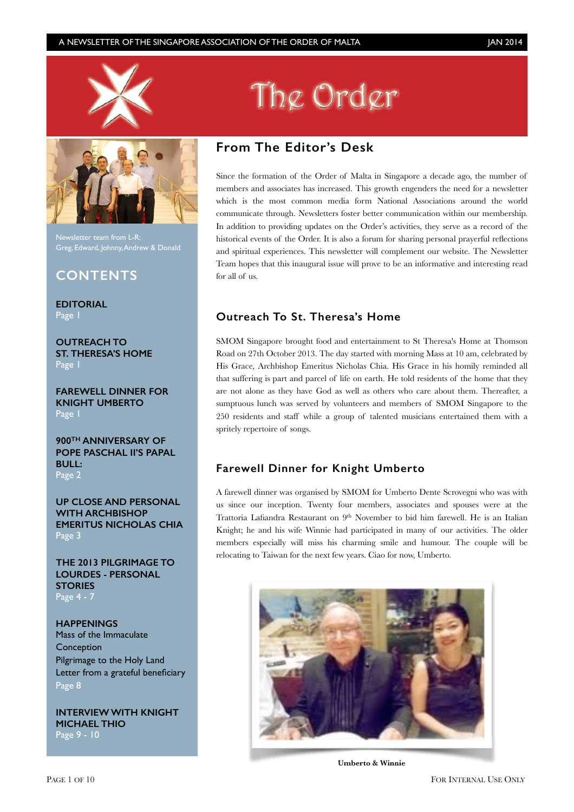



Newsletter team from L-R: Greg, Edward, Johnny, Andrew & Donald

## **CONTENTS**

**EDITORIAL** Page 1

**OUTREACH TO ST. THERESA'S HOME** Page 1

**FAREWELL DINNER FOR KNIGHT UMBERTO** Page 1

**900TH ANNIVERSARY OF POPE PASCHAL II'S PAPAL BULL:**  Page 2

**UP CLOSE AND PERSONAL WITH ARCHBISHOP EMERITUS NICHOLAS CHIA**  Page 3

**THE 2013 PILGRIMAGE TO LOURDES - PERSONAL STORIES** Page 4 - 7

**HAPPENINGS**  Mass of the Immaculate Conception Pilgrimage to the Holy Land Letter from a grateful beneficiary Page 8

**INTERVIEW WITH KNIGHT MICHAEL THIO** Page 9 - 10

# The Order

## **From The Editor's Desk**

Since the formation of the Order of Malta in Singapore a decade ago, the number of members and associates has increased. This growth engenders the need for a newsletter which is the most common media form National Associations around the world communicate through. Newsletters foster better communication within our membership. In addition to providing updates on the Order's activities, they serve as a record of the historical events of the Order. It is also a forum for sharing personal prayerful reflections and spiritual experiences. This newsletter will complement our website. The Newsletter Team hopes that this inaugural issue will prove to be an informative and interesting read for all of us.

## **Outreach To St. Theresa's Home**

SMOM Singapore brought food and entertainment to St Theresa's Home at Thomson Road on 27th October 2013. The day started with morning Mass at 10 am, celebrated by His Grace, Archbishop Emeritus Nicholas Chia. His Grace in his homily reminded all that suffering is part and parcel of life on earth. He told residents of the home that they are not alone as they have God as well as others who care about them. Thereafter, a sumptuous lunch was served by volunteers and members of SMOM Singapore to the 250 residents and staff while a group of talented musicians entertained them with a spritely repertoire of songs.

## **Farewell Dinner for Knight Umberto**

A farewell dinner was organised by SMOM for Umberto Dente Scrovegni who was with us since our inception. Twenty four members, associates and spouses were at the Trattoria Lafiandra Restaurant on 9th November to bid him farewell. He is an Italian Knight; he and his wife Winnie had participated in many of our activities. The older members especially will miss his charming smile and humour. The couple will be relocating to Taiwan for the next few years. Ciao for now, Umberto.



**Umberto & Winnie**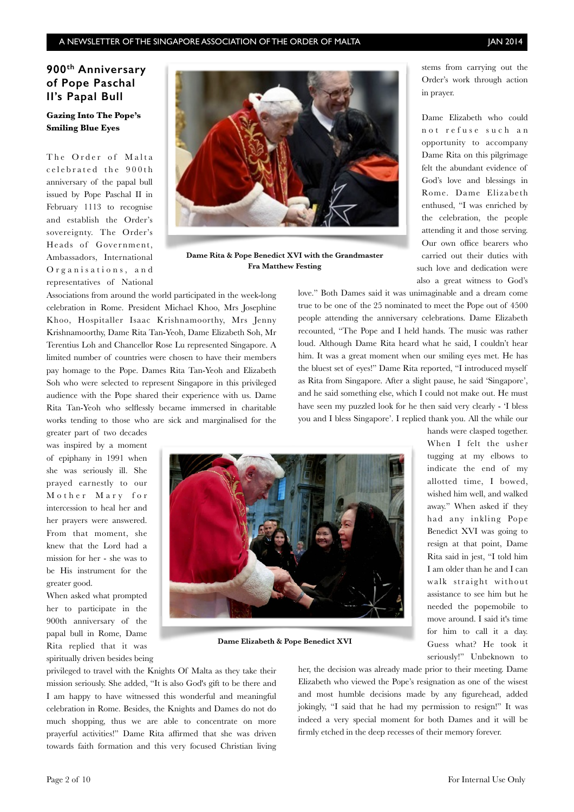## **900th Anniversary of Pope Paschal II's Papal Bull**

#### **Gazing Into The Pope's Smiling Blue Eyes**

The Order of Malta c e l e brated the 900th anniversary of the papal bull issued by Pope Paschal II in February 1113 to recognise and establish the Order's sovereignty. The Order's Heads of Government, Ambassadors, International Organisations, and representatives of National



**Dame Rita & Pope Benedict XVI with the Grandmaster Fra Matthew Festing**

Associations from around the world participated in the week-long celebration in Rome. President Michael Khoo, Mrs Josephine Khoo, Hospitaller Isaac Krishnamoorthy, Mrs Jenny Krishnamoorthy, Dame Rita Tan-Yeoh, Dame Elizabeth Soh, Mr Terentius Loh and Chancellor Rose Lu represented Singapore. A limited number of countries were chosen to have their members pay homage to the Pope. Dames Rita Tan-Yeoh and Elizabeth Soh who were selected to represent Singapore in this privileged audience with the Pope shared their experience with us. Dame Rita Tan-Yeoh who selflessly became immersed in charitable works tending to those who are sick and marginalised for the

stems from carrying out the Order's work through action in prayer.

Dame Elizabeth who could not refuse such an opportunity to accompany Dame Rita on this pilgrimage felt the abundant evidence of God's love and blessings in Rome. Dame Elizabeth enthused, "I was enriched by the celebration, the people attending it and those serving. Our own office bearers who carried out their duties with such love and dedication were also a great witness to God's

love." Both Dames said it was unimaginable and a dream come true to be one of the 25 nominated to meet the Pope out of 4500 people attending the anniversary celebrations. Dame Elizabeth recounted, "The Pope and I held hands. The music was rather loud. Although Dame Rita heard what he said, I couldn't hear him. It was a great moment when our smiling eyes met. He has the bluest set of eyes!" Dame Rita reported, "I introduced myself as Rita from Singapore. After a slight pause, he said 'Singapore', and he said something else, which I could not make out. He must have seen my puzzled look for he then said very clearly - 'I bless you and I bless Singapore'. I replied thank you. All the while our

greater part of two decades was inspired by a moment of epiphany in 1991 when she was seriously ill. She prayed earnestly to our Mother Mary for intercession to heal her and her prayers were answered. From that moment, she knew that the Lord had a mission for her - she was to be His instrument for the greater good.

When asked what prompted her to participate in the 900th anniversary of the papal bull in Rome, Dame Rita replied that it was spiritually driven besides being



**Dame Elizabeth & Pope Benedict XVI**

hands were clasped together. When I felt the usher tugging at my elbows to indicate the end of my allotted time, I bowed, wished him well, and walked away." When asked if they had any inkling Pope Benedict XVI was going to resign at that point, Dame Rita said in jest, "I told him I am older than he and I can walk straight without assistance to see him but he needed the popemobile to move around. I said it's time for him to call it a day. Guess what? He took it seriously!" Unbeknown to

privileged to travel with the Knights Of Malta as they take their mission seriously. She added, "It is also God's gift to be there and I am happy to have witnessed this wonderful and meaningful celebration in Rome. Besides, the Knights and Dames do not do much shopping, thus we are able to concentrate on more prayerful activities!" Dame Rita affirmed that she was driven towards faith formation and this very focused Christian living

her, the decision was already made prior to their meeting. Dame Elizabeth who viewed the Pope's resignation as one of the wisest and most humble decisions made by any figurehead, added jokingly, "I said that he had my permission to resign!" It was indeed a very special moment for both Dames and it will be firmly etched in the deep recesses of their memory forever.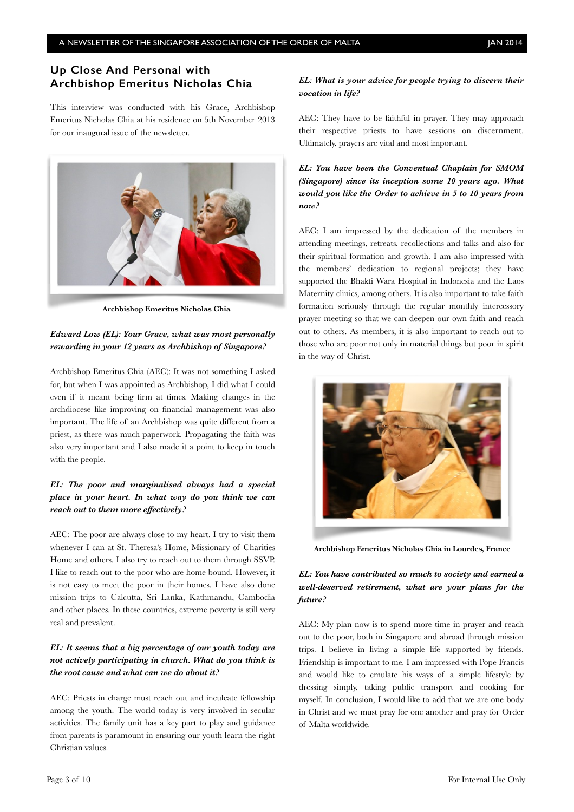## **Up Close And Personal with Archbishop Emeritus Nicholas Chia**

This interview was conducted with his Grace, Archbishop Emeritus Nicholas Chia at his residence on 5th November 2013 for our inaugural issue of the newsletter.



**Archbishop Emeritus Nicholas Chia**

#### *Edward Low (EL): Your Grace, what was most personally rewarding in your 12 years as Archbishop of Singapore?*

Archbishop Emeritus Chia (AEC): It was not something I asked for, but when I was appointed as Archbishop, I did what I could even if it meant being firm at times. Making changes in the archdiocese like improving on financial management was also important. The life of an Archbishop was quite different from a priest, as there was much paperwork. Propagating the faith was also very important and I also made it a point to keep in touch with the people.

### *EL: The poor and marginalised always had a special place in your heart. In what way do you think we can reach out to them more effectively?*

AEC: The poor are always close to my heart. I try to visit them whenever I can at St. Theresa's Home, Missionary of Charities Home and others. I also try to reach out to them through SSVP. I like to reach out to the poor who are home bound. However, it is not easy to meet the poor in their homes. I have also done mission trips to Calcutta, Sri Lanka, Kathmandu, Cambodia and other places. In these countries, extreme poverty is still very real and prevalent.

#### *EL: It seems that a big percentage of our youth today are not actively participating in church. What do you think is the root cause and what can we do about it?*

AEC: Priests in charge must reach out and inculcate fellowship among the youth. The world today is very involved in secular activities. The family unit has a key part to play and guidance from parents is paramount in ensuring our youth learn the right Christian values.

#### *EL: What is your advice for people trying to discern their vocation in life?*

AEC: They have to be faithful in prayer. They may approach their respective priests to have sessions on discernment. Ultimately, prayers are vital and most important.

*EL: You have been the Conventual Chaplain for SMOM (Singapore) since its inception some 10 years ago. What would you like the Order to achieve in 5 to 10 years from now?* 

AEC: I am impressed by the dedication of the members in attending meetings, retreats, recollections and talks and also for their spiritual formation and growth. I am also impressed with the members' dedication to regional projects; they have supported the Bhakti Wara Hospital in Indonesia and the Laos Maternity clinics, among others. It is also important to take faith formation seriously through the regular monthly intercessory prayer meeting so that we can deepen our own faith and reach out to others. As members, it is also important to reach out to those who are poor not only in material things but poor in spirit in the way of Christ.



**Archbishop Emeritus Nicholas Chia in Lourdes, France**

#### *EL: You have contributed so much to society and earned a well-deserved retirement, what are your plans for the future?*

AEC: My plan now is to spend more time in prayer and reach out to the poor, both in Singapore and abroad through mission trips. I believe in living a simple life supported by friends. Friendship is important to me. I am impressed with Pope Francis and would like to emulate his ways of a simple lifestyle by dressing simply, taking public transport and cooking for myself. In conclusion, I would like to add that we are one body in Christ and we must pray for one another and pray for Order of Malta worldwide.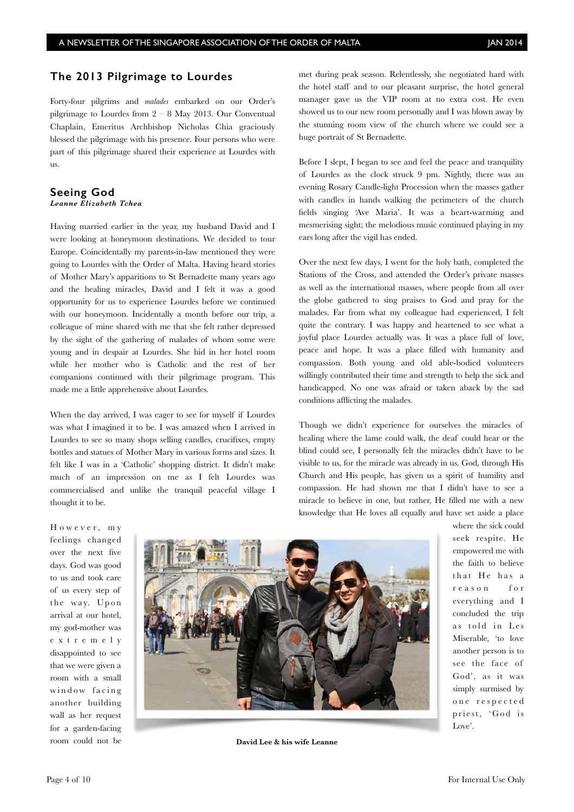#### **The 2013 Pilgrimage to Lourdes**

Forty-four pilgrims and *malades* embarked on our Order's pilgrimage to Lourdes from  $2 - 8$  May 2013. Our Conventual Chaplain, Emeritus Archbishop Nicholas Chia graciously blessed the pilgrimage with his presence. Four persons who were part of this pilgrimage shared their experience at Lourdes with us.

#### **Seeing God**  *Leanne Elizabeth Tchea*

Having married earlier in the year, my husband David and I were looking at honeymoon destinations. We decided to tour Europe. Coincidentally my parents-in-law mentioned they were going to Lourdes with the Order of Malta. Having heard stories of Mother Mary's apparitions to St Bernadette many years ago and the healing miracles, David and I felt it was a good opportunity for us to experience Lourdes before we continued with our honeymoon. Incidentally a month before our trip, a colleague of mine shared with me that she felt rather depressed by the sight of the gathering of malades of whom some were young and in despair at Lourdes. She hid in her hotel room while her mother who is Catholic and the rest of her companions continued with their pilgrimage program. This made me a little apprehensive about Lourdes.

When the day arrived, I was eager to see for myself if Lourdes was what I imagined it to be. I was amazed when I arrived in Lourdes to see so many shops selling candles, crucifixes, empty bottles and statues of Mother Mary in various forms and sizes. It felt like I was in a 'Catholic' shopping district. It didn't make much of an impression on me as I felt Lourdes was commercialised and unlike the tranquil peaceful village I thought it to be.

met during peak season. Relentlessly, she negotiated hard with the hotel staff and to our pleasant surprise, the hotel general manager gave us the VIP room at no extra cost. He even showed us to our new room personally and I was blown away by the stunning room view of the church where we could see a huge portrait of St Bernadette.

Before I slept, I began to see and feel the peace and tranquility of Lourdes as the clock struck 9 pm. Nightly, there was an evening Rosary Candle-light Procession when the masses gather with candles in hands walking the perimeters of the church fields singing 'Ave Maria'. It was a heart-warming and mesmerising sight; the melodious music continued playing in my ears long after the vigil has ended.

Over the next few days, I went for the holy bath, completed the Stations of the Cross, and attended the Order's private masses as well as the international masses, where people from all over the globe gathered to sing praises to God and pray for the malades. Far from what my colleague had experienced, I felt quite the contrary. I was happy and heartened to see what a joyful place Lourdes actually was. It was a place full of love, peace and hope. It was a place filled with humanity and compassion. Both young and old able-bodied volunteers willingly contributed their time and strength to help the sick and handicapped. No one was afraid or taken aback by the sad conditions afflicting the malades.

Though we didn't experience for ourselves the miracles of healing where the lame could walk, the deaf could hear or the blind could see, I personally felt the miracles didn't have to be visible to us, for the miracle was already in us. God, through His Church and His people, has given us a spirit of humility and compassion. He had shown me that I didn't have to see a miracle to believe in one, but rather, He filled me with a new knowledge that He loves all equally and have set aside a place

However, my feelings changed over the next five days. God was good to us and took care of us every step of the way. Upon arrival at our hotel, my god-mother was e x t r e m e l y disappointed to see that we were given a room with a small window facing another building wall as her request for a garden-facing room could not be



**David Lee & his wife Leanne**

where the sick could seek respite. He empowered me with the faith to believe that He has a reason for everything and I concluded the trip as told in Les Miserable, 'to love another person is to see the face of God', as it was simply surmised by o n e r e s p e c t e d priest, 'God is Love'.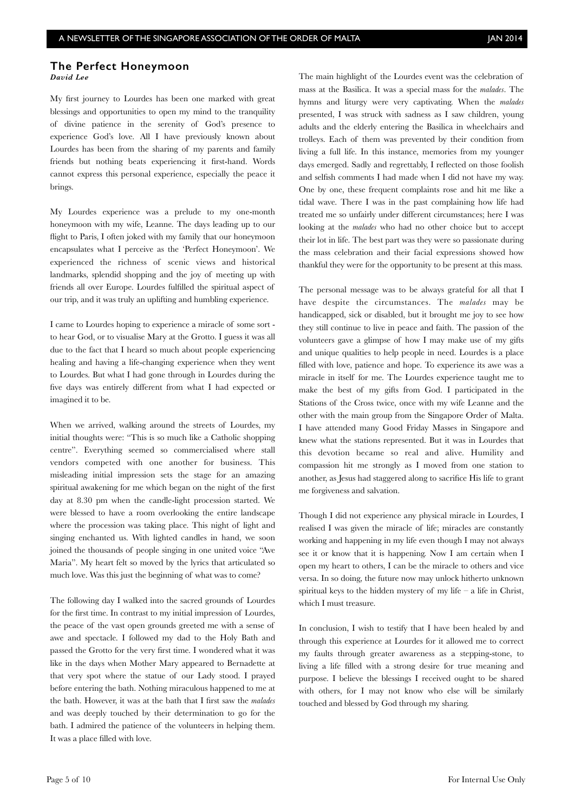#### **The Perfect Honeymoon** *David Lee*

My first journey to Lourdes has been one marked with great blessings and opportunities to open my mind to the tranquility of divine patience in the serenity of God's presence to experience God's love. All I have previously known about Lourdes has been from the sharing of my parents and family friends but nothing beats experiencing it first-hand. Words cannot express this personal experience, especially the peace it brings.

My Lourdes experience was a prelude to my one-month honeymoon with my wife, Leanne. The days leading up to our flight to Paris, I often joked with my family that our honeymoon encapsulates what I perceive as the 'Perfect Honeymoon'. We experienced the richness of scenic views and historical landmarks, splendid shopping and the joy of meeting up with friends all over Europe. Lourdes fulfilled the spiritual aspect of our trip, and it was truly an uplifting and humbling experience.

I came to Lourdes hoping to experience a miracle of some sort to hear God, or to visualise Mary at the Grotto. I guess it was all due to the fact that I heard so much about people experiencing healing and having a life-changing experience when they went to Lourdes. But what I had gone through in Lourdes during the five days was entirely different from what I had expected or imagined it to be.

When we arrived, walking around the streets of Lourdes, my initial thoughts were: "This is so much like a Catholic shopping centre". Everything seemed so commercialised where stall vendors competed with one another for business. This misleading initial impression sets the stage for an amazing spiritual awakening for me which began on the night of the first day at 8.30 pm when the candle-light procession started. We were blessed to have a room overlooking the entire landscape where the procession was taking place. This night of light and singing enchanted us. With lighted candles in hand, we soon joined the thousands of people singing in one united voice "Ave Maria". My heart felt so moved by the lyrics that articulated so much love. Was this just the beginning of what was to come?

The following day I walked into the sacred grounds of Lourdes for the first time. In contrast to my initial impression of Lourdes, the peace of the vast open grounds greeted me with a sense of awe and spectacle. I followed my dad to the Holy Bath and passed the Grotto for the very first time. I wondered what it was like in the days when Mother Mary appeared to Bernadette at that very spot where the statue of our Lady stood. I prayed before entering the bath. Nothing miraculous happened to me at the bath. However, it was at the bath that I first saw the *malades* and was deeply touched by their determination to go for the bath. I admired the patience of the volunteers in helping them. It was a place filled with love.

The main highlight of the Lourdes event was the celebration of mass at the Basilica. It was a special mass for the *malades*. The hymns and liturgy were very captivating. When the *malades* presented, I was struck with sadness as I saw children, young adults and the elderly entering the Basilica in wheelchairs and trolleys. Each of them was prevented by their condition from living a full life. In this instance, memories from my younger days emerged. Sadly and regrettably, I reflected on those foolish and selfish comments I had made when I did not have my way. One by one, these frequent complaints rose and hit me like a tidal wave. There I was in the past complaining how life had treated me so unfairly under different circumstances; here I was looking at the *malades* who had no other choice but to accept their lot in life. The best part was they were so passionate during the mass celebration and their facial expressions showed how thankful they were for the opportunity to be present at this mass.

The personal message was to be always grateful for all that I have despite the circumstances. The *malades* may be handicapped, sick or disabled, but it brought me joy to see how they still continue to live in peace and faith. The passion of the volunteers gave a glimpse of how I may make use of my gifts and unique qualities to help people in need. Lourdes is a place filled with love, patience and hope. To experience its awe was a miracle in itself for me. The Lourdes experience taught me to make the best of my gifts from God. I participated in the Stations of the Cross twice, once with my wife Leanne and the other with the main group from the Singapore Order of Malta. I have attended many Good Friday Masses in Singapore and knew what the stations represented. But it was in Lourdes that this devotion became so real and alive. Humility and compassion hit me strongly as I moved from one station to another, as Jesus had staggered along to sacrifice His life to grant me forgiveness and salvation.

Though I did not experience any physical miracle in Lourdes, I realised I was given the miracle of life; miracles are constantly working and happening in my life even though I may not always see it or know that it is happening. Now I am certain when I open my heart to others, I can be the miracle to others and vice versa. In so doing, the future now may unlock hitherto unknown spiritual keys to the hidden mystery of my life  $-$  a life in Christ, which I must treasure.

In conclusion, I wish to testify that I have been healed by and through this experience at Lourdes for it allowed me to correct my faults through greater awareness as a stepping-stone, to living a life filled with a strong desire for true meaning and purpose. I believe the blessings I received ought to be shared with others, for I may not know who else will be similarly touched and blessed by God through my sharing.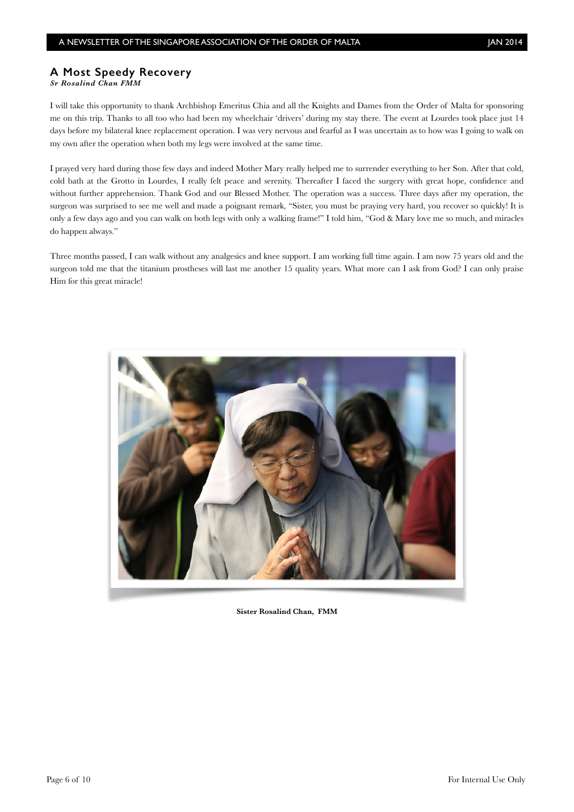#### **A Most Speedy Recovery**

*Sr Rosalind Chan FMM* 

I will take this opportunity to thank Archbishop Emeritus Chia and all the Knights and Dames from the Order of Malta for sponsoring me on this trip. Thanks to all too who had been my wheelchair 'drivers' during my stay there. The event at Lourdes took place just 14 days before my bilateral knee replacement operation. I was very nervous and fearful as I was uncertain as to how was I going to walk on my own after the operation when both my legs were involved at the same time.

I prayed very hard during those few days and indeed Mother Mary really helped me to surrender everything to her Son. After that cold, cold bath at the Grotto in Lourdes, I really felt peace and serenity. Thereafter I faced the surgery with great hope, confidence and without further apprehension. Thank God and our Blessed Mother. The operation was a success. Three days after my operation, the surgeon was surprised to see me well and made a poignant remark, "Sister, you must be praying very hard, you recover so quickly! It is only a few days ago and you can walk on both legs with only a walking frame!" I told him, "God & Mary love me so much, and miracles do happen always."

Three months passed, I can walk without any analgesics and knee support. I am working full time again. I am now 75 years old and the surgeon told me that the titanium prostheses will last me another 15 quality years. What more can I ask from God? I can only praise Him for this great miracle!



**Sister Rosalind Chan, FMM**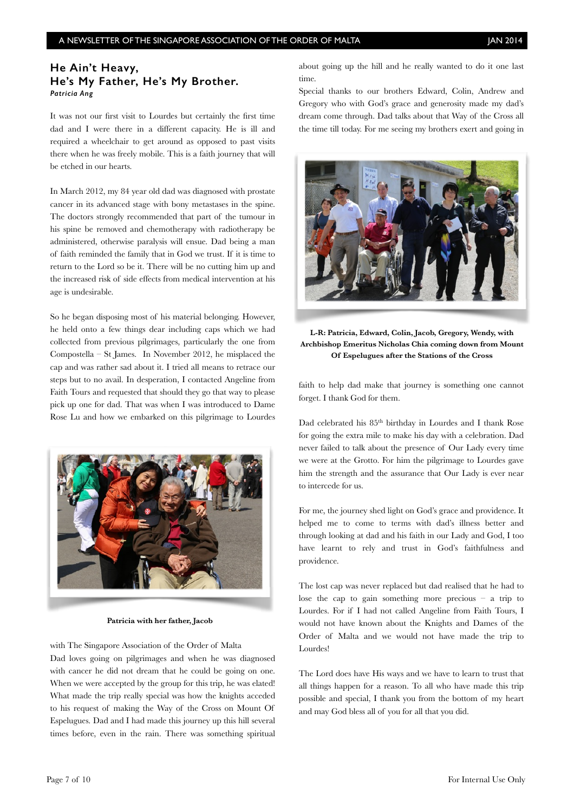### **He Ain't Heavy, He's My Father, He's My Brother.** *Patricia Ang*

It was not our first visit to Lourdes but certainly the first time dad and I were there in a different capacity. He is ill and required a wheelchair to get around as opposed to past visits there when he was freely mobile. This is a faith journey that will be etched in our hearts.

In March 2012, my 84 year old dad was diagnosed with prostate cancer in its advanced stage with bony metastases in the spine. The doctors strongly recommended that part of the tumour in his spine be removed and chemotherapy with radiotherapy be administered, otherwise paralysis will ensue. Dad being a man of faith reminded the family that in God we trust. If it is time to return to the Lord so be it. There will be no cutting him up and the increased risk of side effects from medical intervention at his age is undesirable.

So he began disposing most of his material belonging. However, he held onto a few things dear including caps which we had collected from previous pilgrimages, particularly the one from Compostella – St James. In November 2012, he misplaced the cap and was rather sad about it. I tried all means to retrace our steps but to no avail. In desperation, I contacted Angeline from Faith Tours and requested that should they go that way to please pick up one for dad. That was when I was introduced to Dame Rose Lu and how we embarked on this pilgrimage to Lourdes



#### **Patricia with her father, Jacob**

with The Singapore Association of the Order of Malta Dad loves going on pilgrimages and when he was diagnosed with cancer he did not dream that he could be going on one. When we were accepted by the group for this trip, he was elated! What made the trip really special was how the knights acceded to his request of making the Way of the Cross on Mount Of Espelugues. Dad and I had made this journey up this hill several times before, even in the rain. There was something spiritual

about going up the hill and he really wanted to do it one last time.

Special thanks to our brothers Edward, Colin, Andrew and Gregory who with God's grace and generosity made my dad's dream come through. Dad talks about that Way of the Cross all the time till today. For me seeing my brothers exert and going in



**L-R: Patricia, Edward, Colin, Jacob, Gregory, Wendy, with Archbishop Emeritus Nicholas Chia coming down from Mount Of Espelugues after the Stations of the Cross**

faith to help dad make that journey is something one cannot forget. I thank God for them.

Dad celebrated his 85<sup>th</sup> birthday in Lourdes and I thank Rose for going the extra mile to make his day with a celebration. Dad never failed to talk about the presence of Our Lady every time we were at the Grotto. For him the pilgrimage to Lourdes gave him the strength and the assurance that Our Lady is ever near to intercede for us.

For me, the journey shed light on God's grace and providence. It helped me to come to terms with dad's illness better and through looking at dad and his faith in our Lady and God, I too have learnt to rely and trust in God's faithfulness and providence.

The lost cap was never replaced but dad realised that he had to lose the cap to gain something more precious  $-$  a trip to Lourdes. For if I had not called Angeline from Faith Tours, I would not have known about the Knights and Dames of the Order of Malta and we would not have made the trip to Lourdes!

The Lord does have His ways and we have to learn to trust that all things happen for a reason. To all who have made this trip possible and special, I thank you from the bottom of my heart and may God bless all of you for all that you did.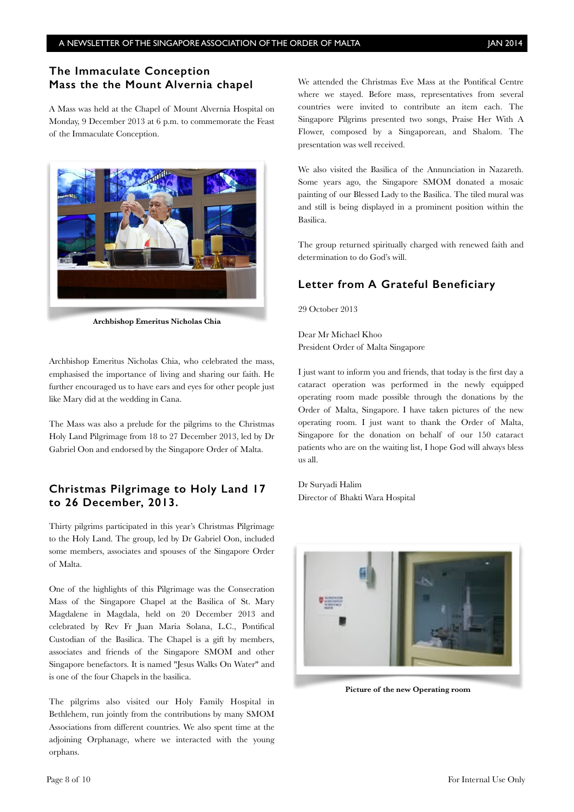## **The Immaculate Conception Mass the the Mount Alvernia chapel**

A Mass was held at the Chapel of Mount Alvernia Hospital on Monday, 9 December 2013 at 6 p.m. to commemorate the Feast of the Immaculate Conception.



**Archbishop Emeritus Nicholas Chia**

Archbishop Emeritus Nicholas Chia, who celebrated the mass, emphasised the importance of living and sharing our faith. He further encouraged us to have ears and eyes for other people just like Mary did at the wedding in Cana.

The Mass was also a prelude for the pilgrims to the Christmas Holy Land Pilgrimage from 18 to 27 December 2013, led by Dr Gabriel Oon and endorsed by the Singapore Order of Malta.

## **Christmas Pilgrimage to Holy Land 17 to 26 December, 2013.**

Thirty pilgrims participated in this year's Christmas Pilgrimage to the Holy Land. The group, led by Dr Gabriel Oon, included some members, associates and spouses of the Singapore Order of Malta.

One of the highlights of this Pilgrimage was the Consecration Mass of the Singapore Chapel at the Basilica of St. Mary Magdalene in Magdala, held on 20 December 2013 and celebrated by Rev Fr Juan Maria Solana, L.C., Pontifical Custodian of the Basilica. The Chapel is a gift by members, associates and friends of the Singapore SMOM and other Singapore benefactors. It is named "Jesus Walks On Water" and is one of the four Chapels in the basilica.

The pilgrims also visited our Holy Family Hospital in Bethlehem, run jointly from the contributions by many SMOM Associations from different countries. We also spent time at the adjoining Orphanage, where we interacted with the young orphans.

We attended the Christmas Eve Mass at the Pontifical Centre where we stayed. Before mass, representatives from several countries were invited to contribute an item each. The Singapore Pilgrims presented two songs, Praise Her With A Flower, composed by a Singaporean, and Shalom. The presentation was well received.

We also visited the Basilica of the Annunciation in Nazareth. Some years ago, the Singapore SMOM donated a mosaic painting of our Blessed Lady to the Basilica. The tiled mural was and still is being displayed in a prominent position within the Basilica.

The group returned spiritually charged with renewed faith and determination to do God's will.

## **Letter from A Grateful Beneficiary**

29 October 2013

Dear Mr Michael Khoo President Order of Malta Singapore

I just want to inform you and friends, that today is the first day a cataract operation was performed in the newly equipped operating room made possible through the donations by the Order of Malta, Singapore. I have taken pictures of the new operating room. I just want to thank the Order of Malta, Singapore for the donation on behalf of our 150 cataract patients who are on the waiting list, I hope God will always bless us all.

Dr Suryadi Halim Director of Bhakti Wara Hospital



**Picture of the new Operating room**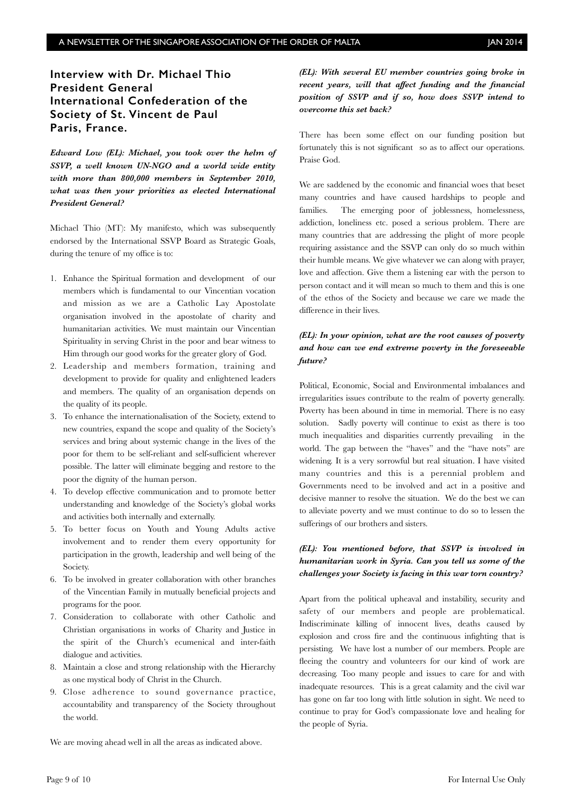## **Interview with Dr. Michael Thio President General International Confederation of the Society of St. Vincent de Paul Paris, France.**

*Edward Low (EL): Michael, you took over the helm of SSVP, a well known UN-NGO and a world wide entity with more than 800,000 members in September 2010, what was then your priorities as elected International President General?*

Michael Thio (MT): My manifesto, which was subsequently endorsed by the International SSVP Board as Strategic Goals, during the tenure of my office is to:

- 1. Enhance the Spiritual formation and development of our members which is fundamental to our Vincentian vocation and mission as we are a Catholic Lay Apostolate organisation involved in the apostolate of charity and humanitarian activities. We must maintain our Vincentian Spirituality in serving Christ in the poor and bear witness to Him through our good works for the greater glory of God.
- 2. Leadership and members formation, training and development to provide for quality and enlightened leaders and members. The quality of an organisation depends on the quality of its people.
- 3. To enhance the internationalisation of the Society, extend to new countries, expand the scope and quality of the Society's services and bring about systemic change in the lives of the poor for them to be self-reliant and self-sufficient wherever possible. The latter will eliminate begging and restore to the poor the dignity of the human person.
- 4. To develop effective communication and to promote better understanding and knowledge of the Society's global works and activities both internally and externally.
- 5. To better focus on Youth and Young Adults active involvement and to render them every opportunity for participation in the growth, leadership and well being of the Society.
- 6. To be involved in greater collaboration with other branches of the Vincentian Family in mutually beneficial projects and programs for the poor.
- 7. Consideration to collaborate with other Catholic and Christian organisations in works of Charity and Justice in the spirit of the Church's ecumenical and inter-faith dialogue and activities.
- 8. Maintain a close and strong relationship with the Hierarchy as one mystical body of Christ in the Church.
- 9. Close adherence to sound governance practice, accountability and transparency of the Society throughout the world.

We are moving ahead well in all the areas as indicated above.

*(EL): With several EU member countries going broke in recent years, will that affect funding and the financial position of SSVP and if so, how does SSVP intend to overcome this set back?*

There has been some effect on our funding position but fortunately this is not significant so as to affect our operations. Praise God.

We are saddened by the economic and financial woes that beset many countries and have caused hardships to people and families. The emerging poor of joblessness, homelessness, addiction, loneliness etc. posed a serious problem. There are many countries that are addressing the plight of more people requiring assistance and the SSVP can only do so much within their humble means. We give whatever we can along with prayer, love and affection. Give them a listening ear with the person to person contact and it will mean so much to them and this is one of the ethos of the Society and because we care we made the difference in their lives.

#### *(EL): In your opinion, what are the root causes of poverty and how can we end extreme poverty in the foreseeable future?*

Political, Economic, Social and Environmental imbalances and irregularities issues contribute to the realm of poverty generally. Poverty has been abound in time in memorial. There is no easy solution. Sadly poverty will continue to exist as there is too much inequalities and disparities currently prevailing in the world. The gap between the "haves" and the "have nots" are widening. It is a very sorrowful but real situation. I have visited many countries and this is a perennial problem and Governments need to be involved and act in a positive and decisive manner to resolve the situation. We do the best we can to alleviate poverty and we must continue to do so to lessen the sufferings of our brothers and sisters.

#### *(EL): You mentioned before, that SSVP is involved in humanitarian work in Syria. Can you tell us some of the challenges your Society is facing in this war torn country?*

Apart from the political upheaval and instability, security and safety of our members and people are problematical. Indiscriminate killing of innocent lives, deaths caused by explosion and cross fire and the continuous infighting that is persisting. We have lost a number of our members. People are fleeing the country and volunteers for our kind of work are decreasing. Too many people and issues to care for and with inadequate resources. This is a great calamity and the civil war has gone on far too long with little solution in sight. We need to continue to pray for God's compassionate love and healing for the people of Syria.